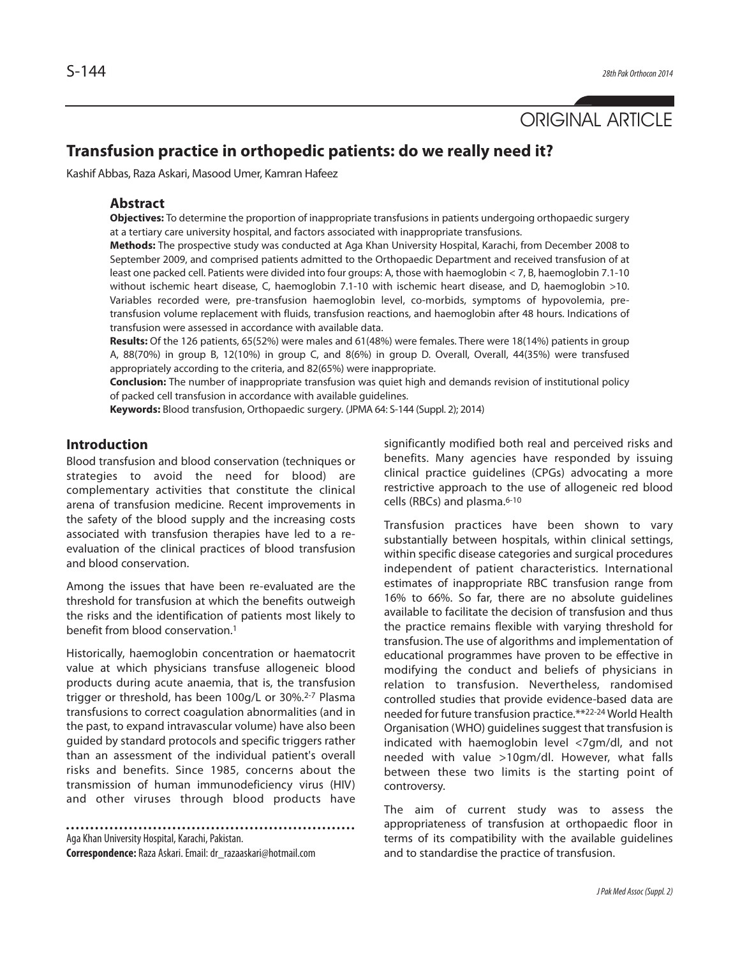

# **Transfusion practice in orthopedic patients: do we really need it?**

Kashif Abbas, Raza Askari, Masood Umer, Kamran Hafeez

#### **Abstract**

**Objectives:** To determine the proportion of inappropriate transfusions in patients undergoing orthopaedic surgery at a tertiary care university hospital, and factors associated with inappropriate transfusions.

**Methods:** The prospective study was conducted at Aga Khan University Hospital, Karachi, from December 2008 to September 2009, and comprised patients admitted to the Orthopaedic Department and received transfusion of at least one packed cell. Patients were divided into four groups: A, those with haemoglobin < 7, B, haemoglobin 7.1-10 without ischemic heart disease, C, haemoglobin 7.1-10 with ischemic heart disease, and D, haemoglobin >10. Variables recorded were, pre-transfusion haemoglobin level, co-morbids, symptoms of hypovolemia, pretransfusion volume replacement with fluids, transfusion reactions, and haemoglobin after 48 hours. Indications of transfusion were assessed in accordance with available data.

**Results:** Of the 126 patients, 65(52%) were males and 61(48%) were females. There were 18(14%) patients in group A, 88(70%) in group B, 12(10%) in group C, and 8(6%) in group D. Overall, Overall, 44(35%) were transfused appropriately according to the criteria, and 82(65%) were inappropriate.

**Conclusion:** The number of inappropriate transfusion was quiet high and demands revision of institutional policy of packed cell transfusion in accordance with available guidelines.

**Keywords:** Blood transfusion, Orthopaedic surgery. (JPMA 64: S-144 (Suppl. 2); 2014)

## **Introduction**

Blood transfusion and blood conservation (techniques or strategies to avoid the need for blood) are complementary activities that constitute the clinical arena of transfusion medicine. Recent improvements in the safety of the blood supply and the increasing costs associated with transfusion therapies have led to a reevaluation of the clinical practices of blood transfusion and blood conservation.

Among the issues that have been re-evaluated are the threshold for transfusion at which the benefits outweigh the risks and the identification of patients most likely to benefit from blood conservation.<sup>1</sup>

Historically, haemoglobin concentration or haematocrit value at which physicians transfuse allogeneic blood products during acute anaemia, that is, the transfusion trigger or threshold, has been 100g/L or 30%.<sup>2-7</sup> Plasma transfusions to correct coagulation abnormalities (and in the past, to expand intravascular volume) have also been guided by standard protocols and specific triggers rather than an assessment of the individual patient's overall risks and benefits. Since 1985, concerns about the transmission of human immunodeficiency virus (HIV) and other viruses through blood products have

Aga Khan University Hospital, Karachi, Pakistan. **Correspondence:** Raza Askari. Email: dr\_razaaskari@hotmail.com

significantly modified both real and perceived risks and benefits. Many agencies have responded by issuing clinical practice guidelines (CPGs) advocating a more restrictive approach to the use of allogeneic red blood cells (RBCs) and plasma.6-10

Transfusion practices have been shown to vary substantially between hospitals, within clinical settings, within specific disease categories and surgical procedures independent of patient characteristics. International estimates of inappropriate RBC transfusion range from 16% to 66%. So far, there are no absolute guidelines available to facilitate the decision of transfusion and thus the practice remains flexible with varying threshold for transfusion. The use of algorithms and implementation of educational programmes have proven to be effective in modifying the conduct and beliefs of physicians in relation to transfusion. Nevertheless, randomised controlled studies that provide evidence-based data are needed for future transfusion practice.\*\*22-24 World Health Organisation (WHO) guidelines suggest that transfusion is indicated with haemoglobin level <7gm/dl, and not needed with value >10gm/dl. However, what falls between these two limits is the starting point of controversy.

The aim of current study was to assess the appropriateness of transfusion at orthopaedic floor in terms of its compatibility with the available guidelines and to standardise the practice of transfusion.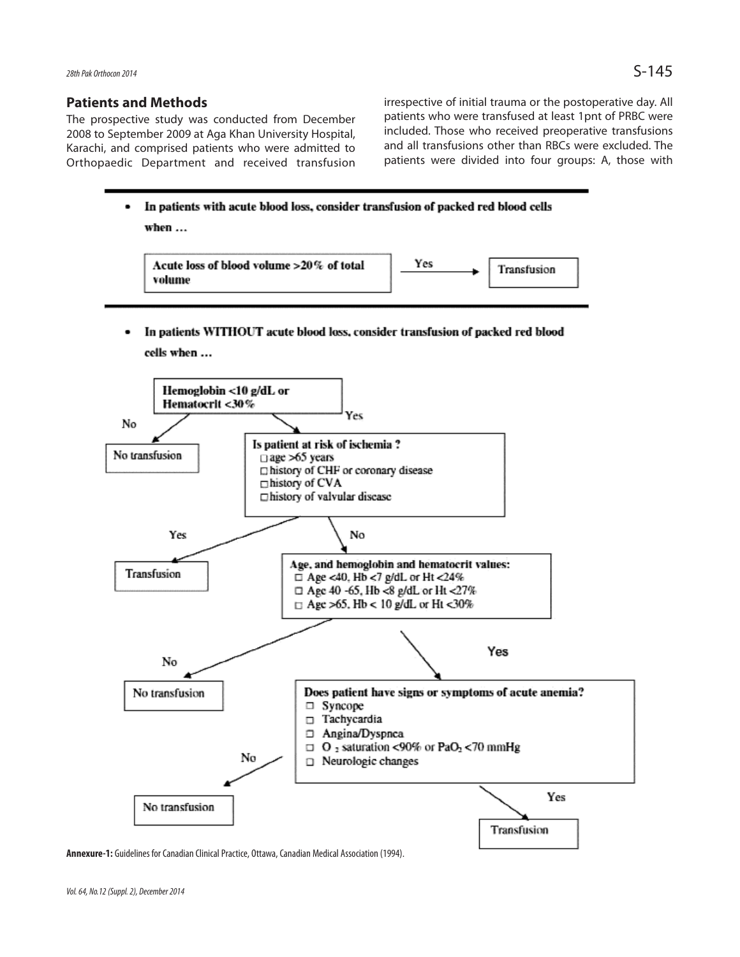## **Patients and Methods**

The prospective study was conducted from December 2008 to September 2009 at Aga Khan University Hospital, Karachi, and comprised patients who were admitted to Orthopaedic Department and received transfusion irrespective of initial trauma or the postoperative day. All patients who were transfused at least 1pnt of PRBC were included. Those who received preoperative transfusions and all transfusions other than RBCs were excluded. The patients were divided into four groups: A, those with



# In patients WITHOUT acute blood loss, consider transfusion of packed red blood cells when ...



**Annexure-1:** Guidelines for Canadian Clinical Practice, Ottawa, Canadian Medical Association (1994).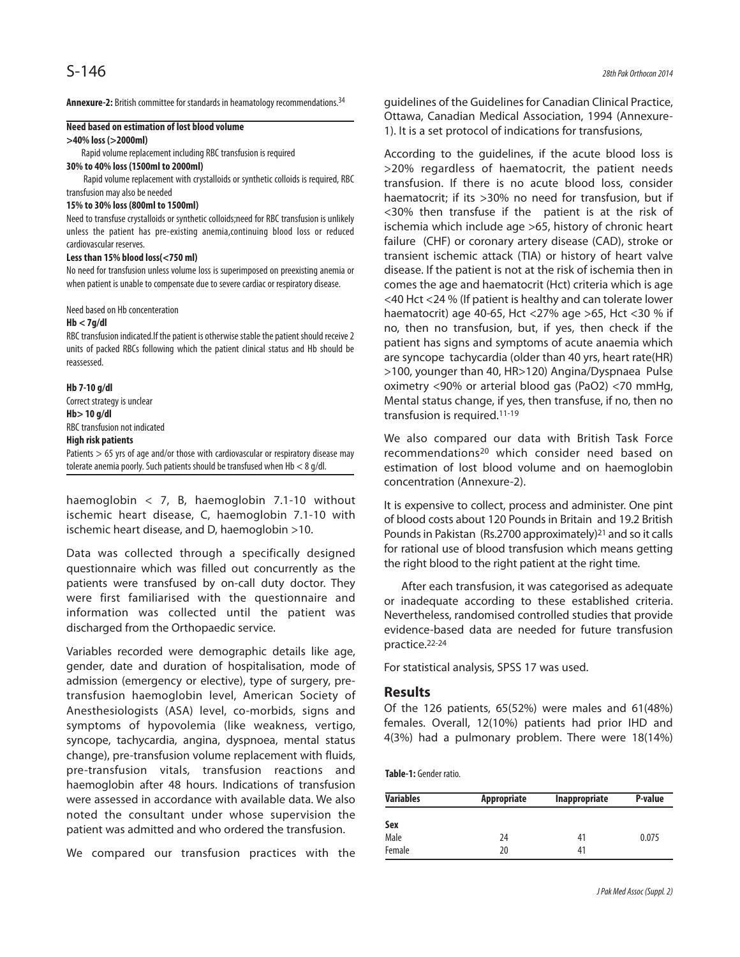**Annexure-2:** British committee for standards in heamatology recommendations.34

### **Need based on estimation of lost blood volume**

#### **>40% loss (>2000ml)**

Rapid volume replacement including RBC transfusion is required

## **30% to 40% loss (1500ml to 2000ml)**

Rapid volume replacement with crystalloids or synthetic colloids is required, RBC transfusion may also be needed

#### **15% to 30% loss (800ml to 1500ml)**

Need to transfuse crystalloids or synthetic colloids;need for RBC transfusion is unlikely unless the patient has pre-existing anemia,continuing blood loss or reduced cardiovascular reserves.

#### **Less than 15% blood loss(<750 ml)**

No need for transfusion unless volume loss is superimposed on preexisting anemia or when patient is unable to compensate due to severe cardiac or respiratory disease.

#### Need based on Hb concenteration

#### **Hb < 7g/dl**

RBC transfusion indicated.If the patient is otherwise stable the patient should receive 2 units of packed RBCs following which the patient clinical status and Hb should be reassessed.

#### **Hb 7-10 g/dl**

Correct strategy is unclear **Hb> 10 g/dl**

RBC transfusion not indicated

#### **High risk patients**

Patients > 65 yrs of age and/or those with cardiovascular or respiratory disease may tolerate anemia poorly. Such patients should be transfused when Hb < 8 g/dl.

haemoglobin  $\langle 7, 8, 1$  haemoglobin 7.1-10 without ischemic heart disease, C, haemoglobin 7.1-10 with ischemic heart disease, and D, haemoglobin >10.

Data was collected through a specifically designed questionnaire which was filled out concurrently as the patients were transfused by on-call duty doctor. They were first familiarised with the questionnaire and information was collected until the patient was discharged from the Orthopaedic service.

Variables recorded were demographic details like age, gender, date and duration of hospitalisation, mode of admission (emergency or elective), type of surgery, pretransfusion haemoglobin level, American Society of Anesthesiologists (ASA) level, co-morbids, signs and symptoms of hypovolemia (like weakness, vertigo, syncope, tachycardia, angina, dyspnoea, mental status change), pre-transfusion volume replacement with fluids, pre-transfusion vitals, transfusion reactions and haemoglobin after 48 hours. Indications of transfusion were assessed in accordance with available data. We also noted the consultant under whose supervision the patient was admitted and who ordered the transfusion.

We compared our transfusion practices with the

guidelines of the Guidelines for Canadian Clinical Practice, Ottawa, Canadian Medical Association, 1994 (Annexure-1). It is a set protocol of indications for transfusions,

According to the guidelines, if the acute blood loss is >20% regardless of haematocrit, the patient needs transfusion. If there is no acute blood loss, consider haematocrit; if its >30% no need for transfusion, but if <30% then transfuse if the patient is at the risk of ischemia which include age >65, history of chronic heart failure (CHF) or coronary artery disease (CAD), stroke or transient ischemic attack (TIA) or history of heart valve disease. If the patient is not at the risk of ischemia then in comes the age and haematocrit (Hct) criteria which is age <40 Hct <24 % (If patient is healthy and can tolerate lower haematocrit) age 40-65, Hct <27% age >65, Hct <30 % if no, then no transfusion, but, if yes, then check if the patient has signs and symptoms of acute anaemia which are syncope tachycardia (older than 40 yrs, heart rate(HR) >100, younger than 40, HR>120) Angina/Dyspnaea Pulse oximetry <90% or arterial blood gas (PaO2) <70 mmHg, Mental status change, if yes, then transfuse, if no, then no transfusion is required.11-19

We also compared our data with British Task Force recommendations<sup>20</sup> which consider need based on estimation of lost blood volume and on haemoglobin concentration (Annexure-2).

It is expensive to collect, process and administer. One pint of blood costs about 120 Pounds in Britain and 19.2 British Pounds in Pakistan (Rs.2700 approximately)<sup>21</sup> and so it calls for rational use of blood transfusion which means getting the right blood to the right patient at the right time.

After each transfusion, it was categorised as adequate or inadequate according to these established criteria. Nevertheless, randomised controlled studies that provide evidence-based data are needed for future transfusion practice.22-24

For statistical analysis, SPSS 17 was used.

#### **Results**

Of the 126 patients, 65(52%) were males and 61(48%) females. Overall, 12(10%) patients had prior IHD and 4(3%) had a pulmonary problem. There were 18(14%)

**Table-1:** Gender ratio.

| <b>Variables</b> | Appropriate | Inappropriate | P-value |
|------------------|-------------|---------------|---------|
| Sex              |             |               |         |
| Male             | 24          | 41            | 0.075   |
| Female           | 20          | 41            |         |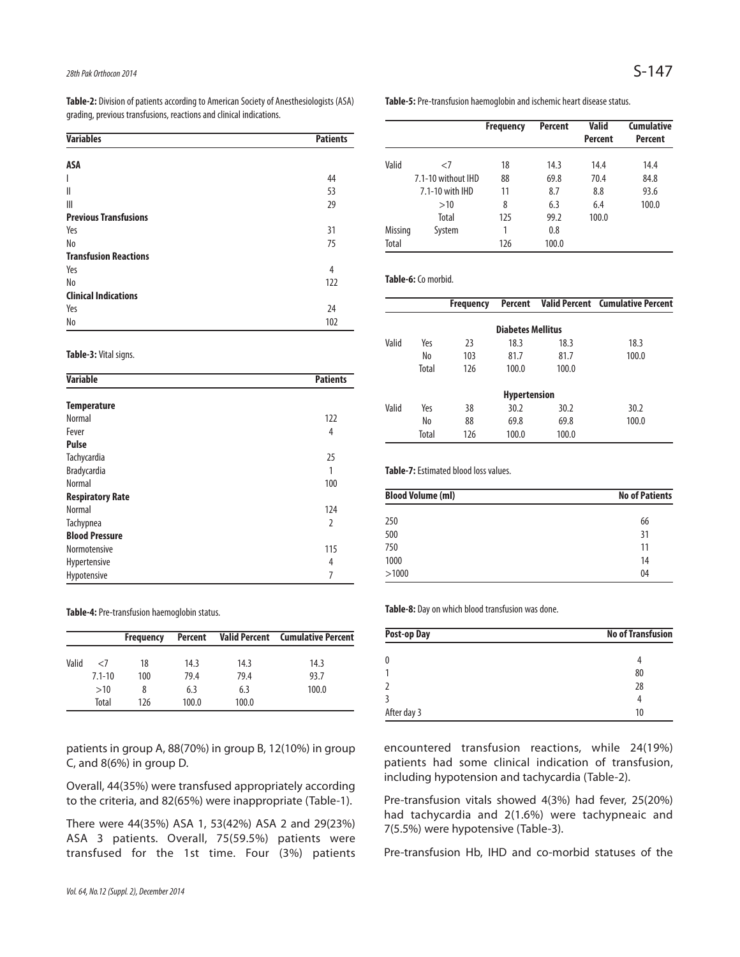**Table-2:** Division of patients according to American Society of Anesthesiologists (ASA) grading, previous transfusions, reactions and clinical indications.

## **Table-5:** Pre-transfusion haemoglobin and ischemic heart disease status.

|                |                    | <b>Frequency</b> | Percent | <b>Valid</b>   | <b>Cumulative</b> |
|----------------|--------------------|------------------|---------|----------------|-------------------|
|                |                    |                  |         | <b>Percent</b> | <b>Percent</b>    |
| Valid          | $<$ 7              | 18               | 14.3    | 14.4           | 14.4              |
|                | 7.1-10 without IHD | 88               | 69.8    | 70.4           | 84.8              |
|                | 7.1-10 with IHD    | 11               | 8.7     | 8.8            | 93.6              |
|                | >10                | 8                | 6.3     | 6.4            | 100.0             |
|                | Total              | 125              | 99.2    | 100.0          |                   |
| <b>Missing</b> | System             |                  | 0.8     |                |                   |
| Total          |                    | 126              | 100.0   |                |                   |

### **Table-6:** Co morbid.

|       |       | <b>Frequency</b> |                          |       | Percent Valid Percent Cumulative Percent |
|-------|-------|------------------|--------------------------|-------|------------------------------------------|
|       |       |                  | <b>Diabetes Mellitus</b> |       |                                          |
| Valid | Yes   | 23               | 18.3                     | 18.3  | 18.3                                     |
|       | No    | 103              | 81.7                     | 81.7  | 100.0                                    |
|       | Total | 126              | 100.0                    | 100.0 |                                          |
|       |       |                  | <b>Hypertension</b>      |       |                                          |
| Valid | Yes   | 38               | 30.2                     | 30.2  | 30.2                                     |
|       | No    | 88               | 69.8                     | 69.8  | 100.0                                    |
|       | Total | 126              | 100.0                    | 100.0 |                                          |

**Table-7:** Estimated blood loss values.

| <b>Blood Volume (ml)</b> | <b>No of Patients</b> |
|--------------------------|-----------------------|
| 250                      | 66                    |
| 500                      | 31                    |
| 750                      | 11                    |
| 1000                     | 14                    |
| >1000                    | 04                    |

**Table-8:** Day on which blood transfusion was done.

| <b>No of Transfusion</b> |  |
|--------------------------|--|
|                          |  |
| 80                       |  |
| 28                       |  |
| 4                        |  |
| 10                       |  |
|                          |  |

encountered transfusion reactions, while 24(19%) patients had some clinical indication of transfusion, including hypotension and tachycardia (Table-2).

Pre-transfusion vitals showed 4(3%) had fever, 25(20%) had tachycardia and 2(1.6%) were tachypneaic and 7(5.5%) were hypotensive (Table-3).

Pre-transfusion Hb, IHD and co-morbid statuses of the

| grading, previous transiusions, reactions and clinical indications. |                 |  |  |
|---------------------------------------------------------------------|-----------------|--|--|
| <b>Variables</b>                                                    | <b>Patients</b> |  |  |
| ASA                                                                 |                 |  |  |
|                                                                     | 44              |  |  |
| Ш                                                                   | 53              |  |  |

|                              | رر  |
|------------------------------|-----|
| $\mathbb{I}$                 | 29  |
| <b>Previous Transfusions</b> |     |
| Yes                          | 31  |
| No                           | 75  |
| <b>Transfusion Reactions</b> |     |
| Yes                          | 4   |
| N <sub>o</sub>               | 122 |
| <b>Clinical Indications</b>  |     |
| Yes                          | 24  |
| No                           | 102 |

#### **Table-3:** Vital signs.

| <b>Variable</b>         | <b>Patients</b> |
|-------------------------|-----------------|
| <b>Temperature</b>      |                 |
| Normal                  | 122             |
| Fever                   | 4               |
| <b>Pulse</b>            |                 |
| Tachycardia             | 25              |
| Bradycardia             | 1               |
| Normal                  | 100             |
| <b>Respiratory Rate</b> |                 |
| Normal                  | 124             |
| Tachypnea               | 2               |
| <b>Blood Pressure</b>   |                 |
| Normotensive            | 115             |
| Hypertensive            | 4               |
| Hypotensive             | 7               |

**Table-4:** Pre-transfusion haemoglobin status.

|       |            | <b>Frequency</b> |       |       | Percent Valid Percent Cumulative Percent |
|-------|------------|------------------|-------|-------|------------------------------------------|
| Valid | -7         | 18               | 14.3  | 14.3  | 14.3                                     |
|       | $7.1 - 10$ | 100              | 79.4  | 79.4  | 93.7                                     |
|       | >10        | 8                | 6.3   | 6.3   | 100.0                                    |
|       | Total      | 126              | 100.0 | 100.0 |                                          |

patients in group A, 88(70%) in group B, 12(10%) in group C, and 8(6%) in group D.

Overall, 44(35%) were transfused appropriately according to the criteria, and 82(65%) were inappropriate (Table-1).

There were 44(35%) ASA 1, 53(42%) ASA 2 and 29(23%) ASA 3 patients. Overall, 75(59.5%) patients were transfused for the 1st time. Four (3%) patients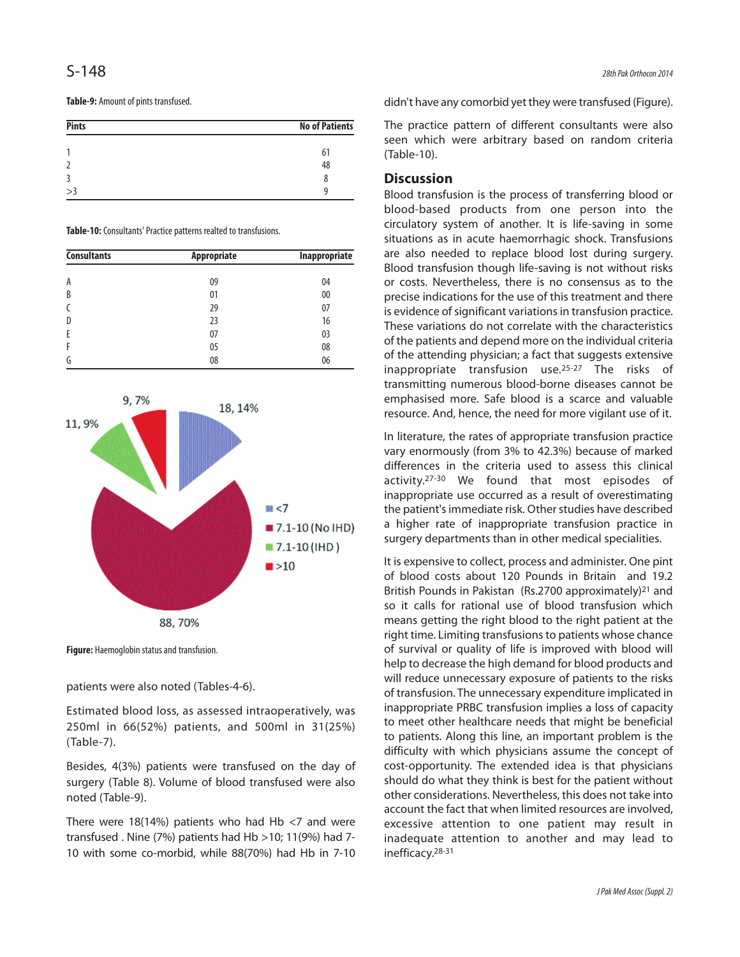#### **Table-9:** Amount of pints transfused.

| <b>Pints</b> | <b>No of Patients</b> |
|--------------|-----------------------|
|              | 61                    |
|              | 48                    |
|              | 8                     |
| >3           |                       |

**Table-10:** Consultants' Practice patterns realted to transfusions.

| <b>Consultants</b> | Appropriate | Inappropriate |  |
|--------------------|-------------|---------------|--|
| A                  | 09          | 04            |  |
| B                  | 01          | 00            |  |
| C                  | 29          | 07            |  |
| D                  | 23          | 16            |  |
| E                  | 07          | 03            |  |
| F                  | 05          | 08            |  |
| G                  | 08          | 06            |  |





**Figure:** Haemoglobin status and transfusion.

patients were also noted (Tables-4-6).

Estimated blood loss, as assessed intraoperatively, was 250ml in 66(52%) patients, and 500ml in 31(25%) (Table-7).

Besides, 4(3%) patients were transfused on the day of surgery (Table 8). Volume of blood transfused were also noted (Table-9).

There were 18(14%) patients who had Hb  $<$ 7 and were transfused . Nine (7%) patients had Hb >10; 11(9%) had 7- 10 with some co-morbid, while 88(70%) had Hb in 7-10 didn't have any comorbid yet they were transfused (Figure).

The practice pattern of different consultants were also seen which were arbitrary based on random criteria (Table-10).

## **Discussion**

Blood transfusion is the process of transferring blood or blood-based products from one person into the circulatory system of another. It is life-saving in some situations as in acute haemorrhagic shock. Transfusions are also needed to replace blood lost during surgery. Blood transfusion though life-saving is not without risks or costs. Nevertheless, there is no consensus as to the precise indications for the use of this treatment and there is evidence of significant variations in transfusion practice. These variations do not correlate with the characteristics of the patients and depend more on the individual criteria of the attending physician; a fact that suggests extensive inappropriate transfusion use.25-27 The risks of transmitting numerous blood-borne diseases cannot be emphasised more. Safe blood is a scarce and valuable resource. And, hence, the need for more vigilant use of it.

In literature, the rates of appropriate transfusion practice vary enormously (from 3% to 42.3%) because of marked differences in the criteria used to assess this clinical activity.27-30 We found that most episodes of inappropriate use occurred as a result of overestimating the patient's immediate risk. Other studies have described a higher rate of inappropriate transfusion practice in surgery departments than in other medical specialities.

It is expensive to collect, process and administer. One pint of blood costs about 120 Pounds in Britain and 19.2 British Pounds in Pakistan (Rs.2700 approximately)<sup>21</sup> and so it calls for rational use of blood transfusion which means getting the right blood to the right patient at the right time. Limiting transfusions to patients whose chance of survival or quality of life is improved with blood will help to decrease the high demand for blood products and will reduce unnecessary exposure of patients to the risks of transfusion. The unnecessary expenditure implicated in inappropriate PRBC transfusion implies a loss of capacity to meet other healthcare needs that might be beneficial to patients. Along this line, an important problem is the difficulty with which physicians assume the concept of cost-opportunity. The extended idea is that physicians should do what they think is best for the patient without other considerations. Nevertheless, this does not take into account the fact that when limited resources are involved, excessive attention to one patient may result in inadequate attention to another and may lead to inefficacy.28-31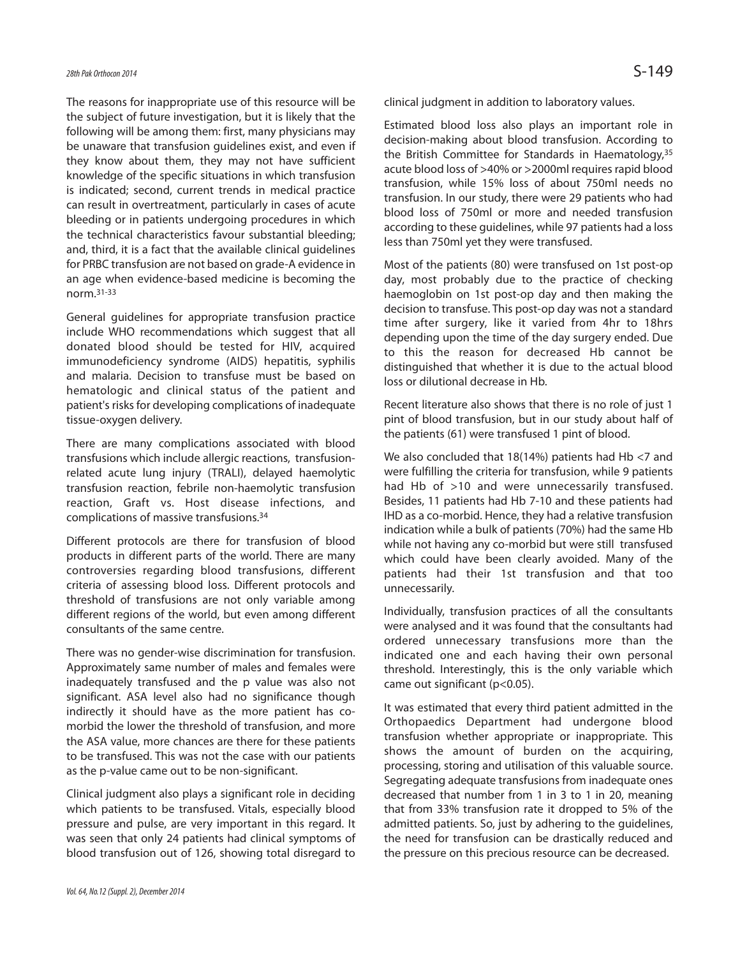# 28th Pak Orthocon 2014  $\mathsf{S}\text{-}149$

The reasons for inappropriate use of this resource will be the subject of future investigation, but it is likely that the following will be among them: first, many physicians may be unaware that transfusion guidelines exist, and even if they know about them, they may not have sufficient knowledge of the specific situations in which transfusion is indicated; second, current trends in medical practice can result in overtreatment, particularly in cases of acute bleeding or in patients undergoing procedures in which the technical characteristics favour substantial bleeding; and, third, it is a fact that the available clinical guidelines for PRBC transfusion are not based on grade-A evidence in an age when evidence-based medicine is becoming the norm.31-33

General guidelines for appropriate transfusion practice include WHO recommendations which suggest that all donated blood should be tested for HIV, acquired immunodeficiency syndrome (AIDS) hepatitis, syphilis and malaria. Decision to transfuse must be based on hematologic and clinical status of the patient and patient's risks for developing complications of inadequate tissue-oxygen delivery.

There are many complications associated with blood transfusions which include allergic reactions, transfusionrelated acute lung injury (TRALI), delayed haemolytic transfusion reaction, febrile non-haemolytic transfusion reaction, Graft vs. Host disease infections, and complications of massive transfusions.<sup>34</sup>

Different protocols are there for transfusion of blood products in different parts of the world. There are many controversies regarding blood transfusions, different criteria of assessing blood loss. Different protocols and threshold of transfusions are not only variable among different regions of the world, but even among different consultants of the same centre.

There was no gender-wise discrimination for transfusion. Approximately same number of males and females were inadequately transfused and the p value was also not significant. ASA level also had no significance though indirectly it should have as the more patient has comorbid the lower the threshold of transfusion, and more the ASA value, more chances are there for these patients to be transfused. This was not the case with our patients as the p-value came out to be non-significant.

Clinical judgment also plays a significant role in deciding which patients to be transfused. Vitals, especially blood pressure and pulse, are very important in this regard. It was seen that only 24 patients had clinical symptoms of blood transfusion out of 126, showing total disregard to clinical judgment in addition to laboratory values.

Estimated blood loss also plays an important role in decision-making about blood transfusion. According to the British Committee for Standards in Haematology, 35 acute blood loss of >40% or >2000ml requires rapid blood transfusion, while 15% loss of about 750ml needs no transfusion. In our study, there were 29 patients who had blood loss of 750ml or more and needed transfusion according to these guidelines, while 97 patients had a loss less than 750ml yet they were transfused.

Most of the patients (80) were transfused on 1st post-op day, most probably due to the practice of checking haemoglobin on 1st post-op day and then making the decision to transfuse. This post-op day was not a standard time after surgery, like it varied from 4hr to 18hrs depending upon the time of the day surgery ended. Due to this the reason for decreased Hb cannot be distinguished that whether it is due to the actual blood loss or dilutional decrease in Hb.

Recent literature also shows that there is no role of just 1 pint of blood transfusion, but in our study about half of the patients (61) were transfused 1 pint of blood.

We also concluded that 18(14%) patients had Hb <7 and were fulfilling the criteria for transfusion, while 9 patients had Hb of >10 and were unnecessarily transfused. Besides, 11 patients had Hb 7-10 and these patients had IHD as a co-morbid. Hence, they had a relative transfusion indication while a bulk of patients (70%) had the same Hb while not having any co-morbid but were still transfused which could have been clearly avoided. Many of the patients had their 1st transfusion and that too unnecessarily.

Individually, transfusion practices of all the consultants were analysed and it was found that the consultants had ordered unnecessary transfusions more than the indicated one and each having their own personal threshold. Interestingly, this is the only variable which came out significant (p<0.05).

It was estimated that every third patient admitted in the Orthopaedics Department had undergone blood transfusion whether appropriate or inappropriate. This shows the amount of burden on the acquiring, processing, storing and utilisation of this valuable source. Segregating adequate transfusions from inadequate ones decreased that number from 1 in 3 to 1 in 20, meaning that from 33% transfusion rate it dropped to 5% of the admitted patients. So, just by adhering to the guidelines, the need for transfusion can be drastically reduced and the pressure on this precious resource can be decreased.